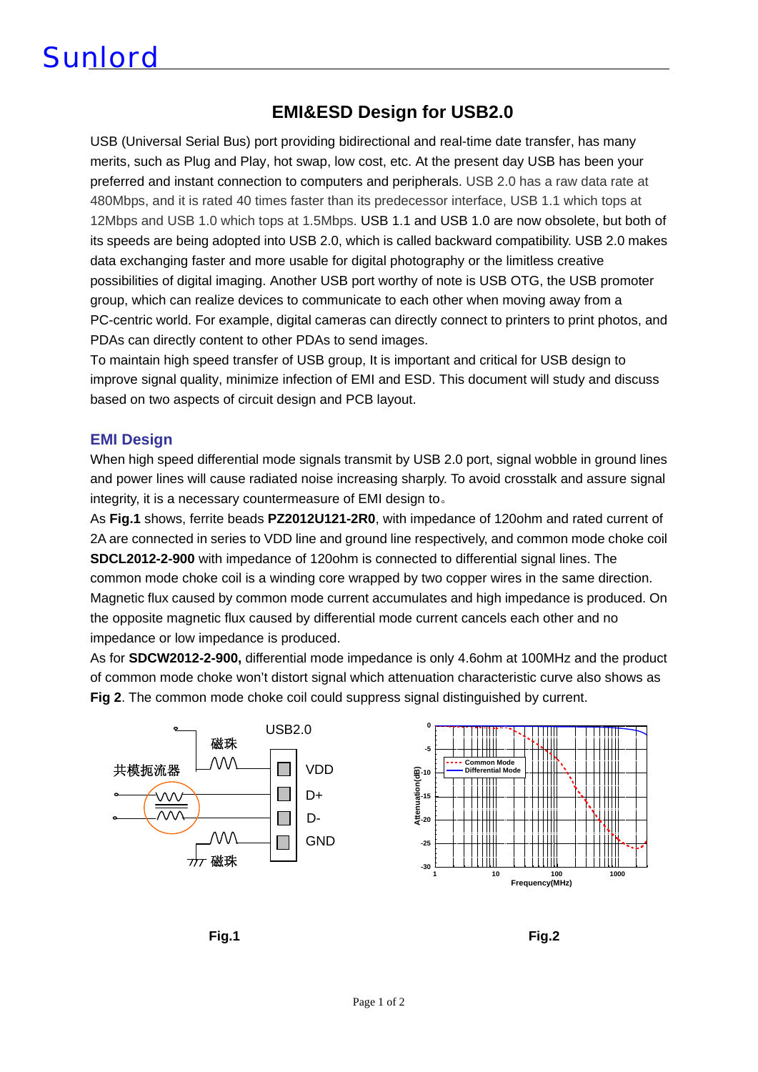# **Sunlord**

### **EMI&ESD Design for USB2.0**

USB (Universal Serial Bus) port providing bidirectional and real-time date transfer, has many merits, such as Plug and Play, hot swap, low cost, etc. At the present day USB has been your preferred and instant connection to computers and peripherals. USB 2.0 has a raw data rate at 480Mbps, and it is rated 40 times faster than its predecessor interface, USB 1.1 which tops at 12Mbps and USB 1.0 which tops at 1.5Mbps. USB 1.1 and USB 1.0 are now obsolete, but both of its speeds are being adopted into USB 2.0, which is called backward compatibility. USB 2.0 makes data exchanging faster and more usable for digital photography or the limitless creative possibilities of digital imaging. Another USB port worthy of note is USB OTG, the USB promoter group, which can realize devices to communicate to each other when moving away from a PC-centric world. For example, digital cameras can directly connect to printers to print photos, and PDAs can directly content to other PDAs to send images.

To maintain high speed transfer of USB group, It is important and critical for USB design to improve signal quality, minimize infection of EMI and ESD. This document will study and discuss based on two aspects of circuit design and PCB layout.

#### **EMI Design**

When high speed differential mode signals transmit by USB 2.0 port, signal wobble in ground lines and power lines will cause radiated noise increasing sharply. To avoid crosstalk and assure signal integrity, it is a necessary countermeasure of EMI design to。

As **Fig.1** shows, ferrite beads **PZ2012U121-2R0**, with impedance of 120ohm and rated current of 2A are connected in series to VDD line and ground line respectively, and common mode choke coil **SDCL2012-2-900** with impedance of 120ohm is connected to differential signal lines. The common mode choke coil is a winding core wrapped by two copper wires in the same direction. Magnetic flux caused by common mode current accumulates and high impedance is produced. On the opposite magnetic flux caused by differential mode current cancels each other and no impedance or low impedance is produced.

As for **SDCW2012-2-900,** differential mode impedance is only 4.6ohm at 100MHz and the product of common mode choke won't distort signal which attenuation characteristic curve also shows as **Fig 2**. The common mode choke coil could suppress signal distinguished by current.



**Fig.1 Fig.2**